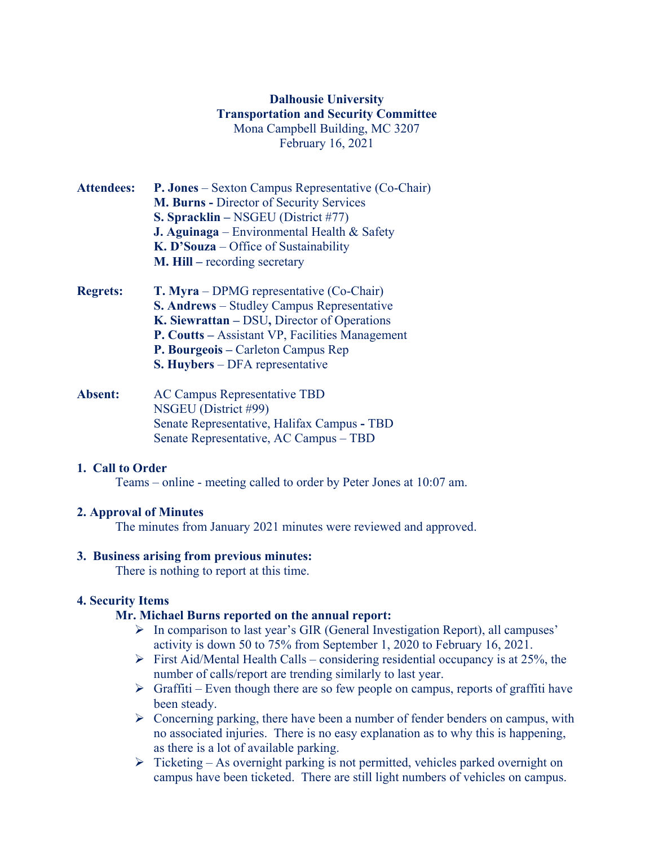# **Dalhousie University Transportation and Security Committee** Mona Campbell Building, MC 3207 February 16, 2021

- **Attendees: P. Jones** Sexton Campus Representative (Co-Chair) **M. Burns -** Director of Security Services **S. Spracklin –** NSGEU (District #77) **J. Aguinaga** – Environmental Health & Safety **K. D'Souza** – Office of Sustainability **M. Hill –** recording secretary
- **Regrets: T. Myra** DPMG representative (Co-Chair) **S. Andrews** – Studley Campus Representative **K. Siewrattan –** DSU**,** Director of Operations **P. Coutts –** Assistant VP, Facilities Management **P. Bourgeois –** Carleton Campus Rep **S. Huybers** – DFA representative
- **Absent:** AC Campus Representative TBD NSGEU (District #99) Senate Representative, Halifax Campus **-** TBD Senate Representative, AC Campus – TBD

#### **1. Call to Order**

Teams – online - meeting called to order by Peter Jones at 10:07 am.

# **2. Approval of Minutes**

The minutes from January 2021 minutes were reviewed and approved.

#### **3. Business arising from previous minutes:**

There is nothing to report at this time.

# **4. Security Items**

#### **Mr. Michael Burns reported on the annual report:**

- $\triangleright$  In comparison to last year's GIR (General Investigation Report), all campuses' activity is down 50 to 75% from September 1, 2020 to February 16, 2021.
- $\triangleright$  First Aid/Mental Health Calls considering residential occupancy is at 25%, the number of calls/report are trending similarly to last year.
- $\triangleright$  Graffiti Even though there are so few people on campus, reports of graffiti have been steady.
- $\triangleright$  Concerning parking, there have been a number of fender benders on campus, with no associated injuries. There is no easy explanation as to why this is happening, as there is a lot of available parking.
- $\triangleright$  Ticketing As overnight parking is not permitted, vehicles parked overnight on campus have been ticketed. There are still light numbers of vehicles on campus.